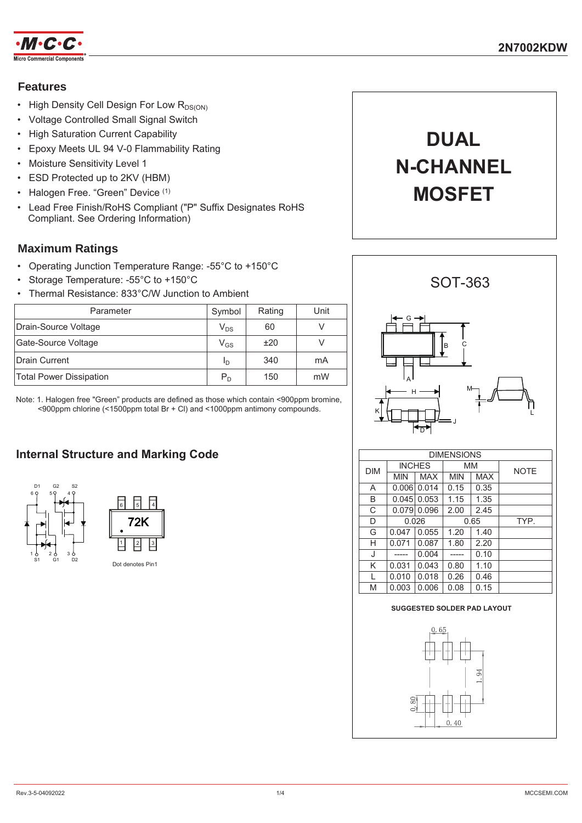

# **Features**

- High Density Cell Design For Low  $R_{DS(ON)}$
- Voltage Controlled Small Signal Switch
- High Saturation Current Capability
- Epoxy Meets UL 94 V-0 Flammability Rating
- Moisture Sensitivity Level 1
- ESD Protected up to 2KV (HBM)
- Halogen Free. "Green" Device (1)
- Lead Free Finish/RoHS Compliant ("P" Suffix Designates RoHS Compliant. See Ordering Information)

# **Maximum Ratings**

- Operating Junction Temperature Range: -55°C to +150°C
- Storage Temperature: -55°C to +150°C
- Thermal Resistance: 833°C/W Junction to Ambient

| Parameter               | Symbol                     | Rating | Unit |
|-------------------------|----------------------------|--------|------|
| Drain-Source Voltage    | $\mathsf{V}_{\mathsf{DS}}$ | 60     |      |
| Gate-Source Voltage     | $\mathsf{V}_{\mathsf{GS}}$ | ±20    |      |
| Drain Current           | In                         | 340    | mA   |
| Total Power Dissipation | $P_{D}$                    | 150    | mW   |

Note: 1. Halogen free "Green" products are defined as those which contain <900ppm bromine, <900ppm chlorine (<1500ppm total Br + Cl) and <1000ppm antimony compounds.

# **Internal Structure and Marking Code**





# **DUAL N-CHANNEL MOSFET**



| DIMENSIONS |               |            |            |            |             |  |
|------------|---------------|------------|------------|------------|-------------|--|
| <b>DIM</b> | <b>INCHES</b> |            | MМ         |            | <b>NOTE</b> |  |
|            | <b>MIN</b>    | <b>MAX</b> | <b>MIN</b> | <b>MAX</b> |             |  |
| A          | 0.006         | 0.014      | 0.15       | 0.35       |             |  |
| B          | 0.045         | 0.053      | 1.15       | 1.35       |             |  |
| C          | 0.079         | 0.096      | 2.00       | 2.45       |             |  |
| D          | 0.026         |            | 0.65       |            | TYP.        |  |
| G          | 0.047         | 0.055      | 1.20       | 1.40       |             |  |
| Н          | 0.071         | 0.087      | 1.80       | 2.20       |             |  |
| J          |               | 0.004      |            | 0.10       |             |  |
| Κ          | 0.031         | 0.043      | 0.80       | 1.10       |             |  |
| L          | 0.010         | 0.018      | 0.26       | 0.46       |             |  |
| M          | 0.003         | 0.006      | 0.08       | 0.15       |             |  |

# **SUGGESTED SOLDER PAD LAYOUT**

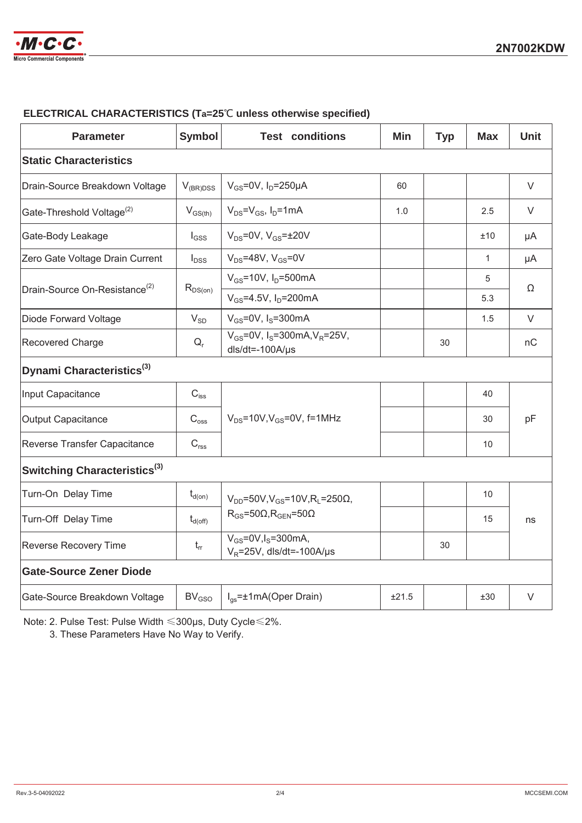

| <b>Parameter</b>                          | <b>Symbol</b>       | <b>Test conditions</b>                                                              | <b>Min</b> | <b>Typ</b> | <b>Max</b>   | <b>Unit</b> |  |
|-------------------------------------------|---------------------|-------------------------------------------------------------------------------------|------------|------------|--------------|-------------|--|
| <b>Static Characteristics</b>             |                     |                                                                                     |            |            |              |             |  |
| Drain-Source Breakdown Voltage            | $V_{(BR)DSS}$       | $V_{GS}$ =0V, $I_D$ =250µA                                                          | 60         |            |              | V           |  |
| Gate-Threshold Voltage <sup>(2)</sup>     | $V_{GS(th)}$        | $V_{DS} = V_{GS}$ , $I_D = 1$ mA                                                    | 1.0        |            | 2.5          | V           |  |
| Gate-Body Leakage                         | $I_{GSS}$           | $V_{DS} = 0V$ , $V_{GS} = \pm 20V$                                                  |            |            | ±10          | μA          |  |
| Zero Gate Voltage Drain Current           | $I_{DSS}$           | $V_{DS}$ =48V, $V_{GS}$ =0V                                                         |            |            | $\mathbf{1}$ | μA          |  |
| Drain-Source On-Resistance <sup>(2)</sup> | $R_{DS(on)}$        | $V_{GS}$ =10V, $I_D$ =500mA                                                         |            |            | 5            | $\Omega$    |  |
|                                           |                     | $V_{GS} = 4.5V$ , $I_D = 200mA$                                                     |            |            | 5.3          |             |  |
| Diode Forward Voltage                     | $V_{SD}$            | $V_{GS}$ =0V, I <sub>S</sub> =300mA                                                 |            |            | 1.5          | $\vee$      |  |
| Recovered Charge                          | $Q_r$               | $V_{GS}$ =0V, I <sub>S</sub> =300mA, V <sub>R</sub> =25V,<br>$dls/dt = -100A/\mu s$ |            | 30         |              | nC          |  |
| Dynami Characteristics <sup>(3)</sup>     |                     |                                                                                     |            |            |              |             |  |
| Input Capacitance                         | $C_{\mathsf{iss}}$  |                                                                                     |            |            | 40           |             |  |
| <b>Output Capacitance</b>                 | $C_{\rm oss}$       | $V_{DS}$ =10V, $V_{GS}$ =0V, f=1MHz                                                 |            |            | 30           | pF          |  |
| Reverse Transfer Capacitance              | $C_{\text{rss}}$    |                                                                                     |            |            | 10           |             |  |
| Switching Characteristics <sup>(3)</sup>  |                     |                                                                                     |            |            |              |             |  |
| Turn-On Delay Time                        | $t_{d(on)}$         | $V_{DD} = 50V$ , $V_{GS} = 10V$ , $R_1 = 250\Omega$ ,                               |            |            | 10           |             |  |
| Turn-Off Delay Time                       | $t_{d(\text{off})}$ | $R_{GS} = 50\Omega, R_{GEN} = 50\Omega$                                             |            |            | 15           | ns          |  |
| Reverse Recovery Time                     | $t_{rr}$            | $V_{GS} = 0V, I_S = 300$ mA,<br>$V_R$ =25V, dls/dt=-100A/µs                         |            | 30         |              |             |  |
| <b>Gate-Source Zener Diode</b>            |                     |                                                                                     |            |            |              |             |  |
| Gate-Source Breakdown Voltage             | BV <sub>GSO</sub>   | $I_{gs} = \pm 1 \text{mA}$ (Oper Drain)                                             | ±21.5      |            | ±30          | $\vee$      |  |

### **ELECTRICAL CHARACTERISTICS (Ta=25℃ unless otherwise specified)**

Note: 2. Pulse Test: Pulse Width ≤300µs, Duty Cycle ≤ 2%.

3. These Parameters Have No Way to Verify.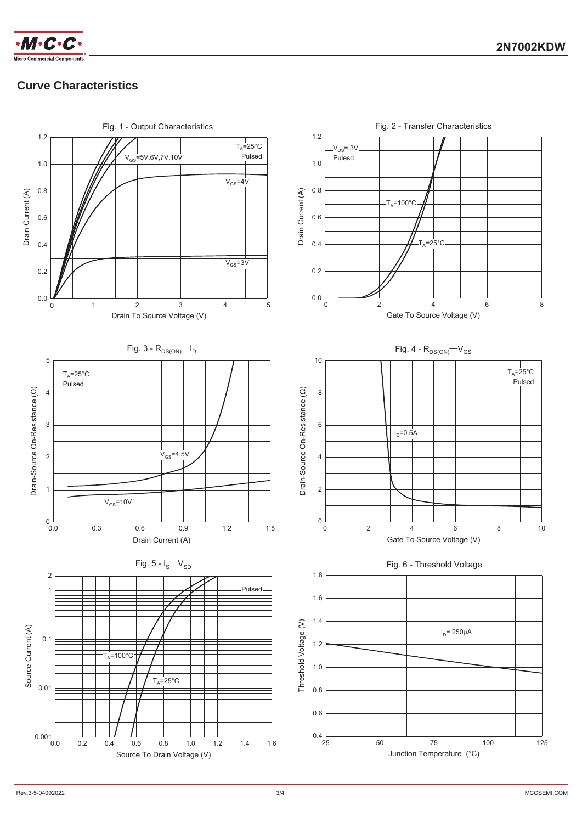

 $\cdot M \cdot C \cdot C \cdot$ 

# **Curve Characteristics**